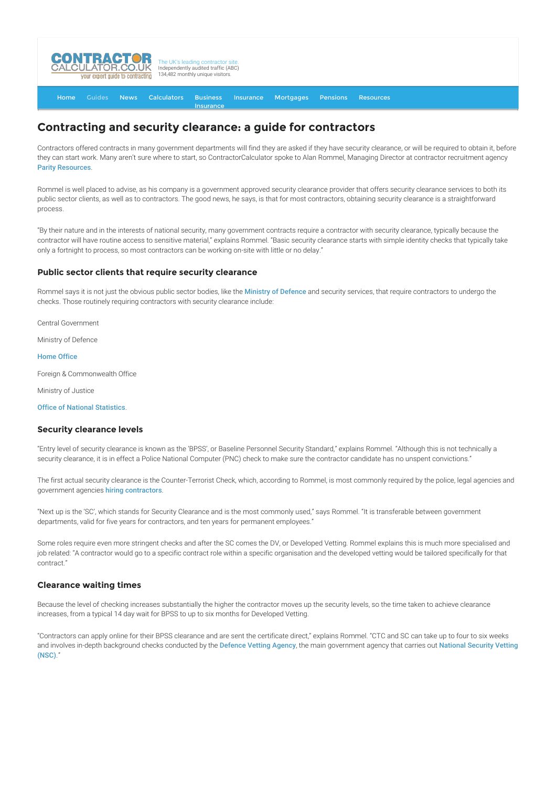

#### [Home](http://www.contractorcalculator.co.uk/) [Guides](http://www.contractorcalculator.co.uk/Articles.aspx) [News](http://www.contractorcalculator.co.uk/Contractor_News.aspx) [Calculators](http://www.contractorcalculator.co.uk/Calculators.aspx) Business **[Insurance](http://www.contractorcalculator.co.uk/Contractor_Insurances.aspx)** [Insurance](http://www.contractorcalculator.co.uk/Insurance.aspx) [Mortgages](http://www.contractorcalculator.co.uk/Contractor_Mortgages.aspx) [Pensions](http://www.contractorcalculator.co.uk/Contractor_Pensions.aspx) [Resources](http://www.contractorcalculator.co.uk/Contractor_Resources.aspx)

# **Contracting and security clearance: a guide for contractors**

Contractors offered contracts in many government departments will find they are asked if they have security clearance, or will be required to obtain it, before they can start work. Many aren't sure where to start, so ContractorCalculator spoke to Alan Rommel, Managing Director at contractor recruitment agency [Parity Resources](http://www.contractorcalculator.co.uk/refer.aspx?site=www.contractorcalculator.co.uk&from=ARTICLE&frompk=CONTRACTING_SECURITY_CLEARANCE_GUIDE_CONTRACTORS&url=http://www.parity.net/parity-it-resourcing-recruitment).

Rommel is well placed to advise, as his company is a government approved security clearance provider that offers security clearance services to both its public sector clients, as well as to contractors. The good news, he says, is that for most contractors, obtaining security clearance is a straightforward process.

"By their nature and in the interests of national security, many government contracts require a contractor with security clearance, typically because the contractor will have routine access to sensitive material," explains Rommel. "Basic security clearance starts with simple identity checks that typically take only a fortnight to process, so most contractors can be working on-site with little or no delay."

## **Public sector clients that require security clearance**

Rommel says it is not just the obvious public sector bodies, like the [Ministry of Defence](http://www.mod.uk/) and security services, that require contractors to undergo the checks. Those routinely requiring contractors with security clearance include:

Central Government

Ministry of Defence

### [Home Office](http://www.homeoffice.gov.uk/)

Foreign & Commonwealth Office

Ministry of Justice

[Office of National Statistics](http://www.statistics.gov.uk/).

# **Security clearance levels**

"Entry level of security clearance is known as the 'BPSS', or Baseline Personnel Security Standard," explains Rommel. "Although this is not technically a security clearance, it is in effect a Police National Computer (PNC) check to make sure the contractor candidate has no unspent convictions."

The first actual security clearance is the Counter-Terrorist Check, which, according to Rommel, is most commonly required by the police, legal agencies and government agencies [hiring contractors](http://www.contractorcalculator.co.uk/hiring_contractors.aspx).

"Next up is the 'SC', which stands for Security Clearance and is the most commonly used," says Rommel. "It is transferable between government departments, valid for five years for contractors, and ten years for permanent employees."

Some roles require even more stringent checks and after the SC comes the DV, or Developed Vetting. Rommel explains this is much more specialised and job related: "A contractor would go to a specific contract role within a specific organisation and the developed vetting would be tailored specifically for that contract."

# **Clearance waiting times**

Because the level of checking increases substantially the higher the contractor moves up the security levels, so the time taken to achieve clearance increases, from a typical 14 day wait for BPSS to up to six months for Developed Vetting.

"Contractors can apply online for their BPSS clearance and are sent the certificate direct," explains Rommel. "CTC and SC can take up to four to six weeks [and involves in-depth background checks conducted by the](https://www.gov.uk/security-vetting-and-clearance#contractors-and-consultants) [Defence Vetting Agency](http://www.mod.uk/DefenceInternet/AboutDefence/WhatWeDo/SecurityandIntelligence/DVA/), the main government agency that carries out National Security Vetting (NSC)."